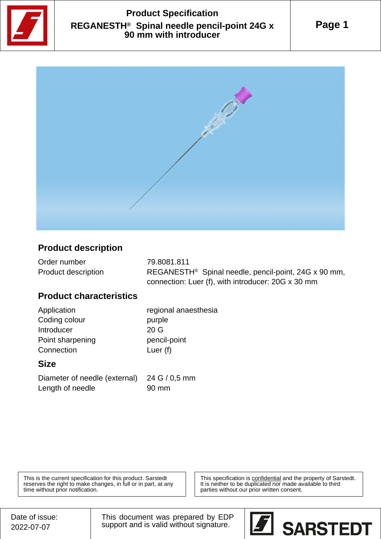

# **Product Specification REGANESTH® Spinal needle pencil-point 24G x 90 mm with introducer**





### **Product description**

| Order number        | 79.8081.811                                                      |
|---------------------|------------------------------------------------------------------|
| Product description | REGANESTH <sup>®</sup> Spinal needle, pencil-point, 24G x 90 mm, |
|                     | connection: Luer (f), with introducer: 20G x 30 mm               |

#### **Product characteristics**

Application regional anaesthesia Coding colour burple Introducer 20 G Point sharpening pencil-point Connection Luer (f)

#### **Size**

Diameter of needle (external) 24 G / 0,5 mm Length of needle 90 mm

This is the current specification for this product. Sarstedt reserves the right to make changes, in full or in part, at any time without prior notification.

This specification is **confidential** and the property of Sarstedt. It is neither to be duplicated nor made available to third parties without our prior written consent.

This document was prepared by EDP support and is valid without signature.